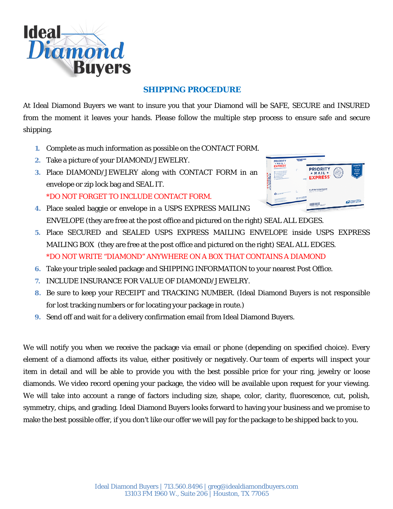

#### **SHIPPING PROCEDURE**

At Ideal Diamond Buyers we want to insure you that your Diamond will be SAFE, SECURE and INSURED from the moment it leaves your hands. Please follow the multiple step process to ensure safe and secure shipping.

- **1.** Complete as much information as possible on the CONTACT FORM.
- **2.** Take a picture of your DIAMOND/JEWELRY.
- **3.** Place DIAMOND/JEWELRY along with CONTACT FORM in an envelope or zip lock bag and SEAL IT. \*DO NOT FORGET TO INCLUDE CONTACT FORM.
- **PRIORITY** EXPRESS **TAPRESS** FLAT RATE ENVELOP **EXPLORATED STATE** committed.
- **4.** Place sealed baggie or envelope in a USPS EXPRESS MAILING ENVELOPE (they are free at the post office and pictured on the right) SEAL ALL EDGES.
- **5.** Place SECURED and SEALED USPS EXPRESS MAILING ENVELOPE inside USPS EXPRESS MAILING BOX (they are free at the post office and pictured on the right) SEAL ALL EDGES. \*DO NOT WRITE "DIAMOND" ANYWHERE ON A BOX THAT CONTAINS A DIAMOND
- **6.** Take your triple sealed package and SHIPPING INFORMATION to your nearest Post Office.
- **7.** INCLUDE INSURANCE FOR VALUE OF DIAMOND/JEWELRY.
- **8.** Be sure to keep your RECEIPT and TRACKING NUMBER. (Ideal Diamond Buyers is not responsible for lost tracking numbers or for locating your package in route.)
- **9.** Send off and wait for a delivery confirmation email from Ideal Diamond Buyers.

We will notify you when we receive the package via email or phone (depending on specified choice). Every element of a diamond affects its value, either positively or negatively. Our team of experts will inspect your item in detail and will be able to provide you with the best possible price for your ring, jewelry or loose diamonds. We video record opening your package, the video will be available upon request for your viewing. We will take into account a range of factors including size, shape, color, clarity, fluorescence, cut, polish, symmetry, chips, and grading. Ideal Diamond Buyers looks forward to having your business and we promise to make the best possible offer, if you don't like our offer we will pay for the package to be shipped back to you.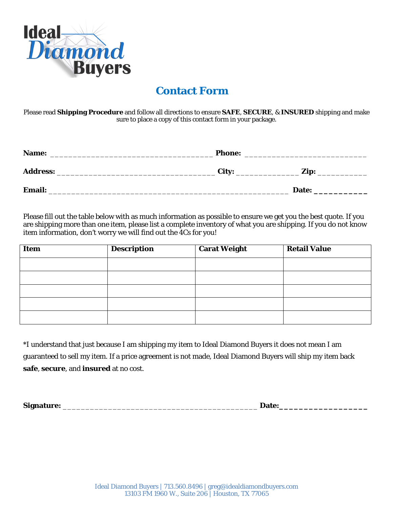

## **Contact Form**

Please read **Shipping Procedure** and follow all directions to ensure **SAFE**, **SECURE**, & **INSURED** shipping and make sure to place a copy of this contact form in your package.

| Name:           | <b>Phone:</b> |       |  |
|-----------------|---------------|-------|--|
| <b>Address:</b> | City:         | Zip:  |  |
| <b>Email:</b>   |               | Date: |  |

Please fill out the table below with as much information as possible to ensure we get you the best quote. If you are shipping more than one item, please list a complete inventory of what you are shipping. If you do not know item information, don't worry we will find out the 4Cs for you!

| <b>Item</b> | <b>Description</b> | <b>Carat Weight</b> | <b>Retail Value</b> |
|-------------|--------------------|---------------------|---------------------|
|             |                    |                     |                     |
|             |                    |                     |                     |
|             |                    |                     |                     |
|             |                    |                     |                     |
|             |                    |                     |                     |

\*I understand that just because I am shipping my item to Ideal Diamond Buyers it does not mean I am guaranteed to sell my item. If a price agreement is not made, Ideal Diamond Buyers will ship my item back **safe**, **secure**, and **insured** at no cost.

**Signature:** \_\_\_\_\_\_\_\_\_\_\_\_\_\_\_\_\_\_\_\_\_\_\_\_\_\_\_\_\_\_\_\_\_\_\_\_\_\_\_\_\_\_\_ **Date:\_\_\_\_\_\_\_\_\_\_\_\_\_\_\_\_\_\_**